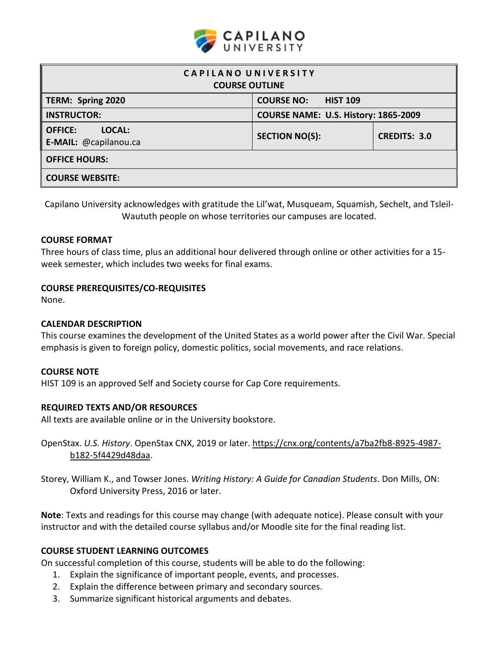

| CAPILANO UNIVERSITY<br><b>COURSE OUTLINE</b>      |                                      |                     |  |  |
|---------------------------------------------------|--------------------------------------|---------------------|--|--|
| TERM: Spring 2020                                 | <b>COURSE NO:</b><br><b>HIST 109</b> |                     |  |  |
| <b>INSTRUCTOR:</b>                                | COURSE NAME: U.S. History: 1865-2009 |                     |  |  |
| LOCAL:<br><b>OFFICE:</b><br>E-MAIL: @capilanou.ca | <b>SECTION NO(S):</b>                | <b>CREDITS: 3.0</b> |  |  |
| <b>OFFICE HOURS:</b>                              |                                      |                     |  |  |
| <b>COURSE WEBSITE:</b>                            |                                      |                     |  |  |

Capilano University acknowledges with gratitude the Lil'wat, Musqueam, Squamish, Sechelt, and Tsleil-Waututh people on whose territories our campuses are located.

### **COURSE FORMAT**

Three hours of class time, plus an additional hour delivered through online or other activities for a 15 week semester, which includes two weeks for final exams.

### **COURSE PREREQUISITES/CO-REQUISITES**

None.

### **CALENDAR DESCRIPTION**

This course examines the development of the United States as a world power after the Civil War. Special emphasis is given to foreign policy, domestic politics, social movements, and race relations.

#### **COURSE NOTE**

HIST 109 is an approved Self and Society course for Cap Core requirements.

# **REQUIRED TEXTS AND/OR RESOURCES**

All texts are available online or in the University bookstore.

OpenStax. *U.S. History*. OpenStax CNX, 2019 or later. https://cnx.org/contents/a7ba2fb8-8925-4987 b182-5f4429d48daa.

Storey, William K., and Towser Jones. *Writing History: A Guide for Canadian Students*. Don Mills, ON: Oxford University Press, 2016 or later.

**Note**: Texts and readings for this course may change (with adequate notice). Please consult with your instructor and with the detailed course syllabus and/or Moodle site for the final reading list.

#### **COURSE STUDENT LEARNING OUTCOMES**

On successful completion of this course, students will be able to do the following:

- 1. Explain the significance of important people, events, and processes.
- 2. Explain the difference between primary and secondary sources.
- 3. Summarize significant historical arguments and debates.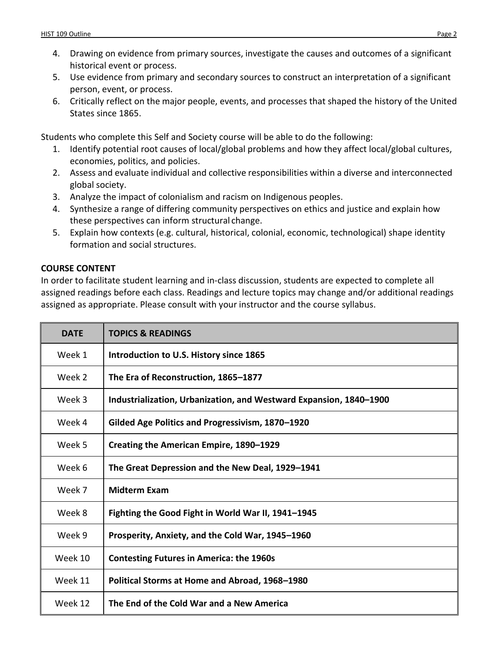- 4. Drawing on evidence from primary sources, investigate the causes and outcomes of a significant historical event or process.
- 5. Use evidence from primary and secondary sources to construct an interpretation of a significant person, event, or process.
- 6. Critically reflect on the major people, events, and processes that shaped the history of the United States since 1865.

Students who complete this Self and Society course will be able to do the following:

- 1. Identify potential root causes of local/global problems and how they affect local/global cultures, economies, politics, and policies.
- 2. Assess and evaluate individual and collective responsibilities within a diverse and interconnected global society.
- 3. Analyze the impact of colonialism and racism on Indigenous peoples.
- 4. Synthesize a range of differing community perspectives on ethics and justice and explain how these perspectives can inform structural change.
- 5. Explain how contexts (e.g. cultural, historical, colonial, economic, technological) shape identity formation and social structures.

# **COURSE CONTENT**

In order to facilitate student learning and in-class discussion, students are expected to complete all assigned readings before each class. Readings and lecture topics may change and/or additional readings assigned as appropriate. Please consult with your instructor and the course syllabus.

| <b>DATE</b> | <b>TOPICS &amp; READINGS</b>                                       |
|-------------|--------------------------------------------------------------------|
| Week 1      | Introduction to U.S. History since 1865                            |
| Week 2      | The Era of Reconstruction, 1865-1877                               |
| Week 3      | Industrialization, Urbanization, and Westward Expansion, 1840-1900 |
| Week 4      | Gilded Age Politics and Progressivism, 1870-1920                   |
| Week 5      | Creating the American Empire, 1890-1929                            |
| Week 6      | The Great Depression and the New Deal, 1929–1941                   |
| Week 7      | <b>Midterm Exam</b>                                                |
| Week 8      | Fighting the Good Fight in World War II, 1941-1945                 |
| Week 9      | Prosperity, Anxiety, and the Cold War, 1945-1960                   |
| Week 10     | <b>Contesting Futures in America: the 1960s</b>                    |
| Week 11     | Political Storms at Home and Abroad, 1968-1980                     |
| Week 12     | The End of the Cold War and a New America                          |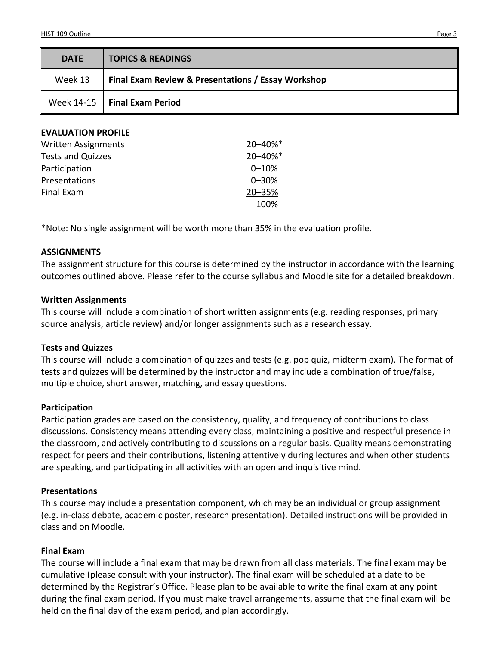| <b>DATE</b> | <b>TOPICS &amp; READINGS</b>                       |
|-------------|----------------------------------------------------|
| Week 13     | Final Exam Review & Presentations / Essay Workshop |
|             | Week $14-15$   Final Exam Period                   |

| <b>EVALUATION PROFILE</b> |  |
|---------------------------|--|
| Weitten Accianmonts       |  |

| <b>Written Assignments</b> | 20-40%*   |  |
|----------------------------|-----------|--|
| <b>Tests and Quizzes</b>   | 20-40%*   |  |
| Participation              | $0 - 10%$ |  |
| Presentations              | $0 - 30%$ |  |
| Final Exam                 | 20-35%    |  |
|                            | 100%      |  |

\*Note: No single assignment will be worth more than 35% in the evaluation profile.

#### **ASSIGNMENTS**

The assignment structure for this course is determined by the instructor in accordance with the learning outcomes outlined above. Please refer to the course syllabus and Moodle site for a detailed breakdown.

#### **Written Assignments**

This course will include a combination of short written assignments (e.g. reading responses, primary source analysis, article review) and/or longer assignments such as a research essay.

#### **Tests and Quizzes**

This course will include a combination of quizzes and tests (e.g. pop quiz, midterm exam). The format of tests and quizzes will be determined by the instructor and may include a combination of true/false, multiple choice, short answer, matching, and essay questions.

#### **Participation**

Participation grades are based on the consistency, quality, and frequency of contributions to class discussions. Consistency means attending every class, maintaining a positive and respectful presence in the classroom, and actively contributing to discussions on a regular basis. Quality means demonstrating respect for peers and their contributions, listening attentively during lectures and when other students are speaking, and participating in all activities with an open and inquisitive mind.

#### **Presentations**

This course may include a presentation component, which may be an individual or group assignment (e.g. in-class debate, academic poster, research presentation). Detailed instructions will be provided in class and on Moodle.

#### **Final Exam**

The course will include a final exam that may be drawn from all class materials. The final exam may be cumulative (please consult with your instructor). The final exam will be scheduled at a date to be determined by the Registrar's Office. Please plan to be available to write the final exam at any point during the final exam period. If you must make travel arrangements, assume that the final exam will be held on the final day of the exam period, and plan accordingly.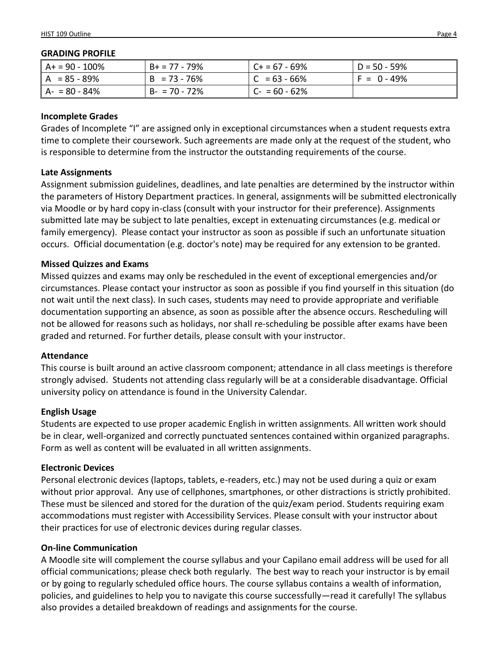#### **GRADING PROFILE**

| $AA = 90 - 100\%$ | $B+ = 77 - 79%$ | l C+ = 67 - 69%  | l D = 50 - 59%  |
|-------------------|-----------------|------------------|-----------------|
| $A = 85 - 89%$    | $B = 73 - 76%$  | $ C  = 63 - 66%$ | $ F = 0 - 49\%$ |
| $A - 80 - 84%$    | $B - 70 - 72%$  | $C - 60 - 62%$   |                 |

### **Incomplete Grades**

Grades of Incomplete "I" are assigned only in exceptional circumstances when a student requests extra time to complete their coursework. Such agreements are made only at the request of the student, who is responsible to determine from the instructor the outstanding requirements of the course.

### **Late Assignments**

Assignment submission guidelines, deadlines, and late penalties are determined by the instructor within the parameters of History Department practices. In general, assignments will be submitted electronically via Moodle or by hard copy in-class (consult with your instructor for their preference). Assignments submitted late may be subject to late penalties, except in extenuating circumstances (e.g. medical or family emergency). Please contact your instructor as soon as possible if such an unfortunate situation occurs. Official documentation (e.g. doctor's note) may be required for any extension to be granted.

### **Missed Quizzes and Exams**

Missed quizzes and exams may only be rescheduled in the event of exceptional emergencies and/or circumstances. Please contact your instructor as soon as possible if you find yourself in this situation (do not wait until the next class). In such cases, students may need to provide appropriate and verifiable documentation supporting an absence, as soon as possible after the absence occurs. Rescheduling will not be allowed for reasons such as holidays, nor shall re-scheduling be possible after exams have been graded and returned. For further details, please consult with your instructor.

#### **Attendance**

This course is built around an active classroom component; attendance in all class meetings is therefore strongly advised. Students not attending class regularly will be at a considerable disadvantage. Official university policy on attendance is found in the University Calendar.

# **English Usage**

Students are expected to use proper academic English in written assignments. All written work should be in clear, well-organized and correctly punctuated sentences contained within organized paragraphs. Form as well as content will be evaluated in all written assignments.

# **Electronic Devices**

Personal electronic devices (laptops, tablets, e-readers, etc.) may not be used during a quiz or exam without prior approval. Any use of cellphones, smartphones, or other distractions is strictly prohibited. These must be silenced and stored for the duration of the quiz/exam period. Students requiring exam accommodations must register with Accessibility Services. Please consult with your instructor about their practices for use of electronic devices during regular classes.

# **On-line Communication**

A Moodle site will complement the course syllabus and your Capilano email address will be used for all official communications; please check both regularly. The best way to reach your instructor is by email or by going to regularly scheduled office hours. The course syllabus contains a wealth of information, policies, and guidelines to help you to navigate this course successfully—read it carefully! The syllabus also provides a detailed breakdown of readings and assignments for the course.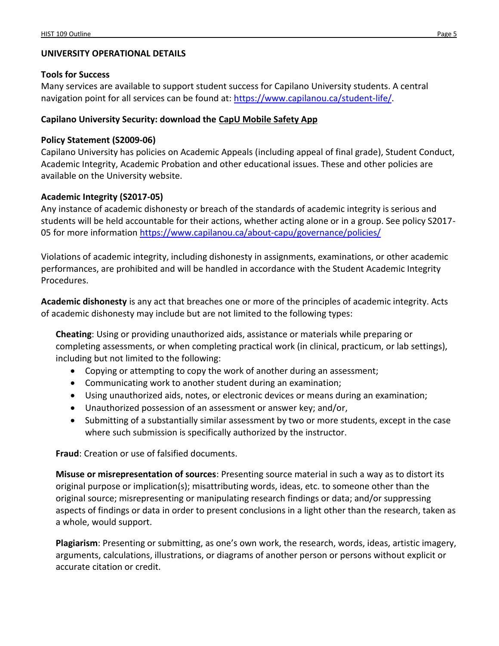# **UNIVERSITY OPERATIONAL DETAILS**

# **Tools for Success**

Many services are available to support student success for Capilano University students. A central navigation point for all services can be found at: [https://www.capilanou.ca/student-life/.](https://www.capilanou.ca/student-life/)

# **Capilano University Security: download the [CapU Mobile Safety App](https://www.capilanou.ca/services/safety-security/CapU-Mobile-Safety-App/)**

# **Policy Statement (S2009-06)**

Capilano University has policies on Academic Appeals (including appeal of final grade), Student Conduct, Academic Integrity, Academic Probation and other educational issues. These and other policies are available on the University website.

# **Academic Integrity (S2017-05)**

Any instance of academic dishonesty or breach of the standards of academic integrity is serious and students will be held accountable for their actions, whether acting alone or in a group. See policy S2017 05 for more information <https://www.capilanou.ca/about-capu/governance/policies/>

Violations of academic integrity, including dishonesty in assignments, examinations, or other academic performances, are prohibited and will be handled in accordance with the Student Academic Integrity Procedures.

**Academic dishonesty** is any act that breaches one or more of the principles of academic integrity. Acts of academic dishonesty may include but are not limited to the following types:

**Cheating**: Using or providing unauthorized aids, assistance or materials while preparing or completing assessments, or when completing practical work (in clinical, practicum, or lab settings), including but not limited to the following:

- Copying or attempting to copy the work of another during an assessment;
- Communicating work to another student during an examination;
- Using unauthorized aids, notes, or electronic devices or means during an examination;
- Unauthorized possession of an assessment or answer key; and/or,
- Submitting of a substantially similar assessment by two or more students, except in the case where such submission is specifically authorized by the instructor.

**Fraud**: Creation or use of falsified documents.

**Misuse or misrepresentation of sources**: Presenting source material in such a way as to distort its original purpose or implication(s); misattributing words, ideas, etc. to someone other than the original source; misrepresenting or manipulating research findings or data; and/or suppressing aspects of findings or data in order to present conclusions in a light other than the research, taken as a whole, would support.

**Plagiarism**: Presenting or submitting, as one's own work, the research, words, ideas, artistic imagery, arguments, calculations, illustrations, or diagrams of another person or persons without explicit or accurate citation or credit.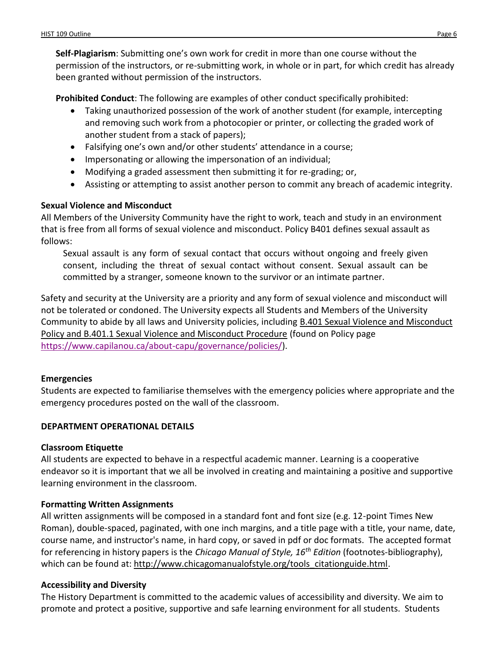**Self-Plagiarism**: Submitting one's own work for credit in more than one course without the permission of the instructors, or re-submitting work, in whole or in part, for which credit has already been granted without permission of the instructors.

**Prohibited Conduct**: The following are examples of other conduct specifically prohibited:

- Taking unauthorized possession of the work of another student (for example, intercepting and removing such work from a photocopier or printer, or collecting the graded work of another student from a stack of papers);
- Falsifying one's own and/or other students' attendance in a course;
- Impersonating or allowing the impersonation of an individual;
- Modifying a graded assessment then submitting it for re-grading; or,
- Assisting or attempting to assist another person to commit any breach of academic integrity.

# **Sexual Violence and Misconduct**

All Members of the University Community have the right to work, teach and study in an environment that is free from all forms of sexual violence and misconduct. Policy B401 defines sexual assault as follows:

Sexual assault is any form of sexual contact that occurs without ongoing and freely given consent, including the threat of sexual contact without consent. Sexual assault can be committed by a stranger, someone known to the survivor or an intimate partner.

Safety and security at the University are a priority and any form of sexual violence and misconduct will not be tolerated or condoned. The University expects all Students and Members of the University Community to abide by all laws and University policies, including [B.401 Sexual Violence and Misconduct](https://www.capilanou.ca/SVM/)  [Policy and B.401.1 Sexual Violence and Misconduct Procedure](https://www.capilanou.ca/SVM/) (found on Policy page [https://www.capilanou.ca/about-capu/governance/policies/\)](https://www.capilanou.ca/about-capu/governance/policies/).

# **Emergencies**

Students are expected to familiarise themselves with the emergency policies where appropriate and the emergency procedures posted on the wall of the classroom.

# **DEPARTMENT OPERATIONAL DETAILS**

#### **Classroom Etiquette**

All students are expected to behave in a respectful academic manner. Learning is a cooperative endeavor so it is important that we all be involved in creating and maintaining a positive and supportive learning environment in the classroom.

# **Formatting Written Assignments**

All written assignments will be composed in a standard font and font size (e.g. 12-point Times New Roman), double-spaced, paginated, with one inch margins, and a title page with a title, your name, date, course name, and instructor's name, in hard copy, or saved in pdf or doc formats. The accepted format for referencing in history papers is the *Chicago Manual of Style, 16th Edition* (footnotes-bibliography), which can be found at: [http://www.chicagomanualofstyle.org/tools\\_citationguide.html.](http://www.chicagomanualofstyle.org/tools_citationguide.html)

# **Accessibility and Diversity**

The History Department is committed to the academic values of accessibility and diversity. We aim to promote and protect a positive, supportive and safe learning environment for all students. Students